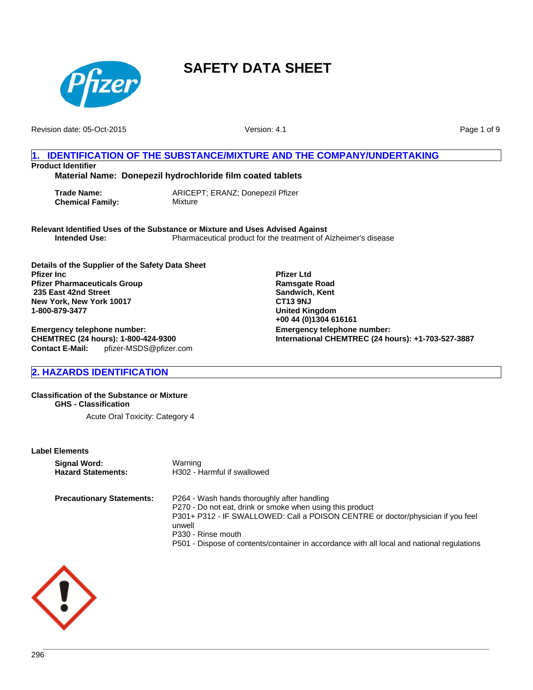

Revision date: 05-Oct-2015

Version: 4.1

**Pfizer Ltd Ramsgate Road Sandwich, Kent CT13 9NJ United Kingdom +00 44 (0)1304 616161**

**Emergency telephone number:**

**International CHEMTREC (24 hours): +1-703-527-3887**

Page 1 of 9

## **1. IDENTIFICATION OF THE SUBSTANCE/MIXTURE AND THE COMPANY/UNDERTAKING Product Identifier**

**Material Name: Donepezil hydrochloride film coated tablets**

**Trade Name:** ARICEPT; ERANZ; Donepezil Pfizer **Chemical Family:** Mixture

**Relevant Identified Uses of the Substance or Mixture and Uses Advised Against Intended Use:** Pharmaceutical product for the treatment of Alzheimer's disease

**Details of the Supplier of the Safety Data Sheet Pfizer Inc Pfizer Pharmaceuticals Group 235 East 42nd Street New York, New York 10017 1-800-879-3477**

**Emergency telephone number: CHEMTREC (24 hours): 1-800-424-9300 Contact E-Mail:** pfizer-MSDS@pfizer.com

**2. HAZARDS IDENTIFICATION**

**Classification of the Substance or Mixture GHS - Classification**

Acute Oral Toxicity: Category 4

**Label Elements**

| <b>Signal Word:</b>              | Warning                                                                                                                                                                                                                                                                                                                   |
|----------------------------------|---------------------------------------------------------------------------------------------------------------------------------------------------------------------------------------------------------------------------------------------------------------------------------------------------------------------------|
| <b>Hazard Statements:</b>        | H302 - Harmful if swallowed                                                                                                                                                                                                                                                                                               |
| <b>Precautionary Statements:</b> | P264 - Wash hands thoroughly after handling<br>P270 - Do not eat, drink or smoke when using this product<br>P301+ P312 - IF SWALLOWED: Call a POISON CENTRE or doctor/physician if you feel<br>unwell<br>P330 - Rinse mouth<br>P501 - Dispose of contents/container in accordance with all local and national regulations |

**\_\_\_\_\_\_\_\_\_\_\_\_\_\_\_\_\_\_\_\_\_\_\_\_\_\_\_\_\_\_\_\_\_\_\_\_\_\_\_\_\_\_\_\_\_\_\_\_\_\_\_\_\_\_\_\_\_\_\_\_\_\_\_\_\_\_\_\_\_\_\_\_\_\_\_\_\_\_\_\_\_\_\_\_\_\_\_\_\_\_\_\_\_\_\_\_\_\_\_\_\_\_\_**

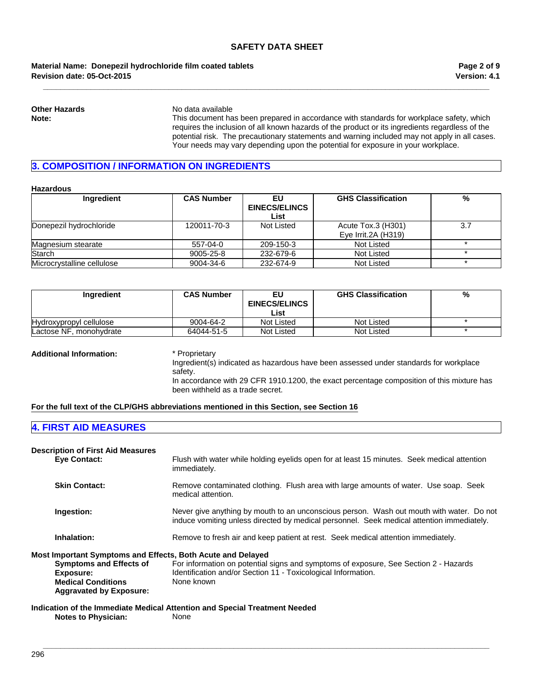**\_\_\_\_\_\_\_\_\_\_\_\_\_\_\_\_\_\_\_\_\_\_\_\_\_\_\_\_\_\_\_\_\_\_\_\_\_\_\_\_\_\_\_\_\_\_\_\_\_\_\_\_\_\_\_\_\_\_\_\_\_\_\_\_\_\_\_\_\_\_\_\_\_\_\_\_\_\_\_\_\_\_\_\_\_\_\_\_\_\_\_\_\_\_\_\_\_\_\_\_\_\_\_**

## **Revision date: 05-Oct-2015 Material Name: Donepezil hydrochloride film coated tablets**

**Other Hazards** No data available

**Note:** This document has been prepared in accordance with standards for workplace safety, which requires the inclusion of all known hazards of the product or its ingredients regardless of the potential risk. The precautionary statements and warning included may not apply in all cases. Your needs may vary depending upon the potential for exposure in your workplace.

## **3. COMPOSITION / INFORMATION ON INGREDIENTS**

### **Hazardous**

| Ingredient                 | <b>CAS Number</b> | EU<br><b>EINECS/ELINCS</b><br>List | <b>GHS Classification</b>                    | %   |
|----------------------------|-------------------|------------------------------------|----------------------------------------------|-----|
| Donepezil hydrochloride    | 120011-70-3       | Not Listed                         | Acute Tox.3 (H301)<br>Eye Irrit. $2A$ (H319) | 3.7 |
| Magnesium stearate         | 557-04-0          | 209-150-3                          | Not Listed                                   |     |
| Starch                     | 9005-25-8         | 232-679-6                          | Not Listed                                   |     |
| Microcrystalline cellulose | 9004-34-6         | 232-674-9                          | Not Listed                                   |     |

| <b>Ingredient</b>       | <b>CAS Number</b> | EU<br><b>EINECS/ELINCS</b><br>List | <b>GHS Classification</b> | % |
|-------------------------|-------------------|------------------------------------|---------------------------|---|
| Hydroxypropyl cellulose | 9004-64-2         | Not Listed                         | Not Listed                |   |
| Lactose NF, monohydrate | 64044-51-5        | Not Listed                         | Not Listed                |   |

**Additional Information:** \* Proprietary

Ingredient(s) indicated as hazardous have been assessed under standards for workplace safety. In accordance with 29 CFR 1910.1200, the exact percentage composition of this mixture has been withheld as a trade secret.

## **For the full text of the CLP/GHS abbreviations mentioned in this Section, see Section 16**

## **4. FIRST AID MEASURES**

| <b>Description of First Aid Measures</b><br><b>Eye Contact:</b> | Flush with water while holding eyelids open for at least 15 minutes. Seek medical attention                                                                                           |
|-----------------------------------------------------------------|---------------------------------------------------------------------------------------------------------------------------------------------------------------------------------------|
|                                                                 | immediately.                                                                                                                                                                          |
| <b>Skin Contact:</b>                                            | Remove contaminated clothing. Flush area with large amounts of water. Use soap. Seek<br>medical attention.                                                                            |
| Ingestion:                                                      | Never give anything by mouth to an unconscious person. Wash out mouth with water. Do not<br>induce vomiting unless directed by medical personnel. Seek medical attention immediately. |
| Inhalation:                                                     | Remove to fresh air and keep patient at rest. Seek medical attention immediately.                                                                                                     |
| Most Important Symptoms and Effects, Both Acute and Delayed     |                                                                                                                                                                                       |
| <b>Symptoms and Effects of</b>                                  | For information on potential signs and symptoms of exposure, See Section 2 - Hazards                                                                                                  |
| Exposure:                                                       | Identification and/or Section 11 - Toxicological Information.                                                                                                                         |
| <b>Medical Conditions</b><br><b>Aggravated by Exposure:</b>     | None known                                                                                                                                                                            |
|                                                                 | Indication of the Immediate Medical Attention and Special Treatment Needed                                                                                                            |

**\_\_\_\_\_\_\_\_\_\_\_\_\_\_\_\_\_\_\_\_\_\_\_\_\_\_\_\_\_\_\_\_\_\_\_\_\_\_\_\_\_\_\_\_\_\_\_\_\_\_\_\_\_\_\_\_\_\_\_\_\_\_\_\_\_\_\_\_\_\_\_\_\_\_\_\_\_\_\_\_\_\_\_\_\_\_\_\_\_\_\_\_\_\_\_\_\_\_\_\_\_\_\_**

**Notes to Physician:** None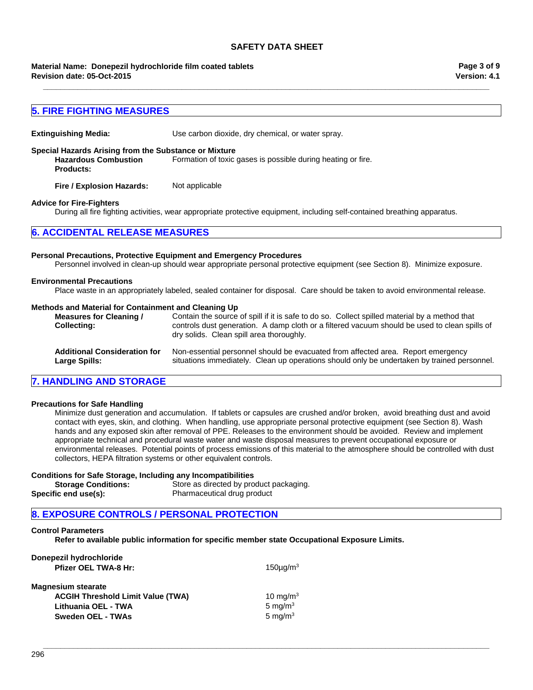**\_\_\_\_\_\_\_\_\_\_\_\_\_\_\_\_\_\_\_\_\_\_\_\_\_\_\_\_\_\_\_\_\_\_\_\_\_\_\_\_\_\_\_\_\_\_\_\_\_\_\_\_\_\_\_\_\_\_\_\_\_\_\_\_\_\_\_\_\_\_\_\_\_\_\_\_\_\_\_\_\_\_\_\_\_\_\_\_\_\_\_\_\_\_\_\_\_\_\_\_\_\_\_**

**Revision date: 05-Oct-2015 Material Name: Donepezil hydrochloride film coated tablets** **Version: 4.1 Page 3 of 9**

## **5. FIRE FIGHTING MEASURES**

**Extinguishing Media:** Use carbon dioxide, dry chemical, or water spray.

**Special Hazards Arising from the Substance or Mixture**

**Hazardous Combustion Products:** Formation of toxic gases is possible during heating or fire.

**Fire / Explosion Hazards:** Not applicable

#### **Advice for Fire-Fighters**

During all fire fighting activities, wear appropriate protective equipment, including self-contained breathing apparatus.

## **6. ACCIDENTAL RELEASE MEASURES**

#### **Personal Precautions, Protective Equipment and Emergency Procedures**

Personnel involved in clean-up should wear appropriate personal protective equipment (see Section 8). Minimize exposure.

#### **Environmental Precautions**

Place waste in an appropriately labeled, sealed container for disposal. Care should be taken to avoid environmental release.

#### **Methods and Material for Containment and Cleaning Up**

| Measures for Cleaning /<br><b>Collecting:</b> | Contain the source of spill if it is safe to do so. Collect spilled material by a method that<br>controls dust generation. A damp cloth or a filtered vacuum should be used to clean spills of<br>dry solids. Clean spill area thoroughly. |
|-----------------------------------------------|--------------------------------------------------------------------------------------------------------------------------------------------------------------------------------------------------------------------------------------------|
| <b>Additional Consideration for</b>           | Non-essential personnel should be evacuated from affected area. Report emergency                                                                                                                                                           |
| Large Spills:                                 | situations immediately. Clean up operations should only be undertaken by trained personnel.                                                                                                                                                |

## **7. HANDLING AND STORAGE**

#### **Precautions for Safe Handling**

Minimize dust generation and accumulation. If tablets or capsules are crushed and/or broken, avoid breathing dust and avoid contact with eyes, skin, and clothing. When handling, use appropriate personal protective equipment (see Section 8). Wash hands and any exposed skin after removal of PPE. Releases to the environment should be avoided. Review and implement appropriate technical and procedural waste water and waste disposal measures to prevent occupational exposure or environmental releases. Potential points of process emissions of this material to the atmosphere should be controlled with dust collectors, HEPA filtration systems or other equivalent controls.

**\_\_\_\_\_\_\_\_\_\_\_\_\_\_\_\_\_\_\_\_\_\_\_\_\_\_\_\_\_\_\_\_\_\_\_\_\_\_\_\_\_\_\_\_\_\_\_\_\_\_\_\_\_\_\_\_\_\_\_\_\_\_\_\_\_\_\_\_\_\_\_\_\_\_\_\_\_\_\_\_\_\_\_\_\_\_\_\_\_\_\_\_\_\_\_\_\_\_\_\_\_\_\_**

#### **Conditions for Safe Storage, Including any Incompatibilities**

**Storage Conditions:** Store as directed by product packaging. **Specific end use(s):** Pharmaceutical drug product

## **8. EXPOSURE CONTROLS / PERSONAL PROTECTION**

#### **Control Parameters**

**Refer to available public information for specific member state Occupational Exposure Limits.**

| Donepezil hydrochloride                  |               |
|------------------------------------------|---------------|
| <b>Pfizer OEL TWA-8 Hr:</b>              | $150\mu g/m3$ |
|                                          |               |
| <b>Magnesium stearate</b>                |               |
| <b>ACGIH Threshold Limit Value (TWA)</b> | 10 mg/m $3$   |
| Lithuania OEL - TWA                      | 5 mg/m $3$    |
| <b>Sweden OEL - TWAs</b>                 | 5 mg/ $m3$    |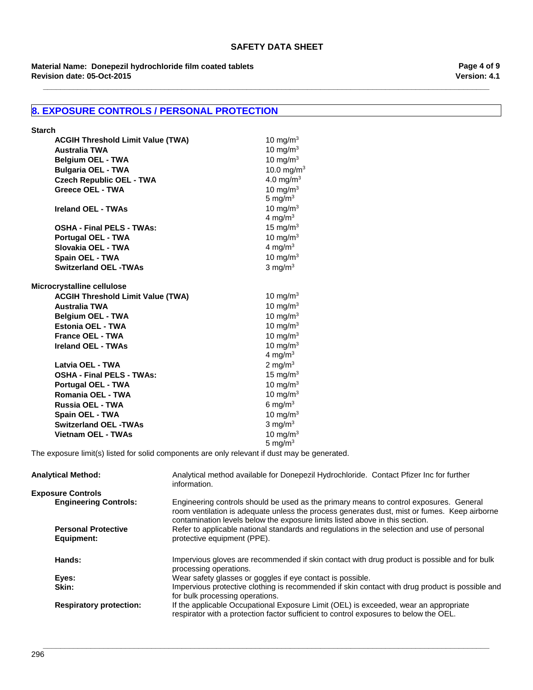**\_\_\_\_\_\_\_\_\_\_\_\_\_\_\_\_\_\_\_\_\_\_\_\_\_\_\_\_\_\_\_\_\_\_\_\_\_\_\_\_\_\_\_\_\_\_\_\_\_\_\_\_\_\_\_\_\_\_\_\_\_\_\_\_\_\_\_\_\_\_\_\_\_\_\_\_\_\_\_\_\_\_\_\_\_\_\_\_\_\_\_\_\_\_\_\_\_\_\_\_\_\_\_**

**Revision date: 05-Oct-2015 Material Name: Donepezil hydrochloride film coated tablets** **Version: 4.1 Page 4 of 9**

## **8. EXPOSURE CONTROLS / PERSONAL PROTECTION**

| <b>Starch</b>                                                    |                            |
|------------------------------------------------------------------|----------------------------|
| <b>ACGIH Threshold Limit Value (TWA)</b>                         | 10 mg/m $3$                |
| <b>Australia TWA</b>                                             | 10 mg/m $3$                |
| <b>Belgium OEL - TWA</b>                                         | 10 mg/m $3$                |
| <b>Bulgaria OEL - TWA</b>                                        | 10.0 mg/m $3$              |
| <b>Czech Republic OEL - TWA</b>                                  | 4.0 mg/m <sup>3</sup>      |
| <b>Greece OEL - TWA</b>                                          | 10 mg/m $3$                |
|                                                                  | 5 mg/ $m3$                 |
| Ireland OEL - TWAs                                               | 10 mg/m $3$                |
|                                                                  | 4 mg/ $m3$                 |
| <b>OSHA - Final PELS - TWAs:</b>                                 | 15 mg/m $3$                |
| <b>Portugal OEL - TWA</b>                                        | 10 mg/m $3$                |
| Slovakia OEL - TWA                                               | 4 mg/m $3$                 |
| <b>Spain OEL - TWA</b>                                           | 10 mg/m $3$                |
| <b>Switzerland OEL -TWAs</b>                                     | 3 mg/ $m3$                 |
|                                                                  |                            |
| Microcrystalline cellulose                                       |                            |
| <b>ACGIH Threshold Limit Value (TWA)</b><br><b>Australia TWA</b> | 10 mg/m $3$<br>10 mg/ $m3$ |
| <b>Belgium OEL - TWA</b>                                         | 10 mg/m $3$                |
| Estonia OEL - TWA                                                | 10 mg/m $3$                |
| <b>France OEL - TWA</b>                                          | 10 mg/m $3$                |
| Ireland OEL - TWAs                                               |                            |
|                                                                  | 10 mg/m $3$<br>4 mg/m $3$  |
| Latvia OEL - TWA                                                 | 2 mg/m $3$                 |
| <b>OSHA - Final PELS - TWAs:</b>                                 | 15 mg/m $3$                |
| <b>Portugal OEL - TWA</b>                                        | 10 mg/m $3$                |
| Romania OEL - TWA                                                | 10 mg/m $3$                |
| Russia OEL - TWA                                                 | 6 mg/ $m3$                 |
| <b>Spain OEL - TWA</b>                                           | 10 mg/m $3$                |
| <b>Switzerland OEL -TWAs</b>                                     | 3 mg/ $m3$                 |
| <b>Vietnam OEL - TWAs</b>                                        | 10 mg/m $3$                |
|                                                                  | 5 mg/ $m3$                 |
|                                                                  |                            |

The exposure limit(s) listed for solid components are only relevant if dust may be generated.

| <b>Analytical Method:</b>                | Analytical method available for Donepezil Hydrochloride. Contact Pfizer Inc for further<br>information.                                                                                                                                                                |
|------------------------------------------|------------------------------------------------------------------------------------------------------------------------------------------------------------------------------------------------------------------------------------------------------------------------|
| <b>Exposure Controls</b>                 |                                                                                                                                                                                                                                                                        |
| <b>Engineering Controls:</b>             | Engineering controls should be used as the primary means to control exposures. General<br>room ventilation is adequate unless the process generates dust, mist or fumes. Keep airborne<br>contamination levels below the exposure limits listed above in this section. |
| <b>Personal Protective</b><br>Equipment: | Refer to applicable national standards and regulations in the selection and use of personal<br>protective equipment (PPE).                                                                                                                                             |
| Hands:                                   | Impervious gloves are recommended if skin contact with drug product is possible and for bulk<br>processing operations.                                                                                                                                                 |
| Eyes:                                    | Wear safety glasses or goggles if eye contact is possible.                                                                                                                                                                                                             |
| Skin:                                    | Impervious protective clothing is recommended if skin contact with drug product is possible and<br>for bulk processing operations.                                                                                                                                     |
| <b>Respiratory protection:</b>           | If the applicable Occupational Exposure Limit (OEL) is exceeded, wear an appropriate<br>respirator with a protection factor sufficient to control exposures to below the OEL.                                                                                          |

**\_\_\_\_\_\_\_\_\_\_\_\_\_\_\_\_\_\_\_\_\_\_\_\_\_\_\_\_\_\_\_\_\_\_\_\_\_\_\_\_\_\_\_\_\_\_\_\_\_\_\_\_\_\_\_\_\_\_\_\_\_\_\_\_\_\_\_\_\_\_\_\_\_\_\_\_\_\_\_\_\_\_\_\_\_\_\_\_\_\_\_\_\_\_\_\_\_\_\_\_\_\_\_**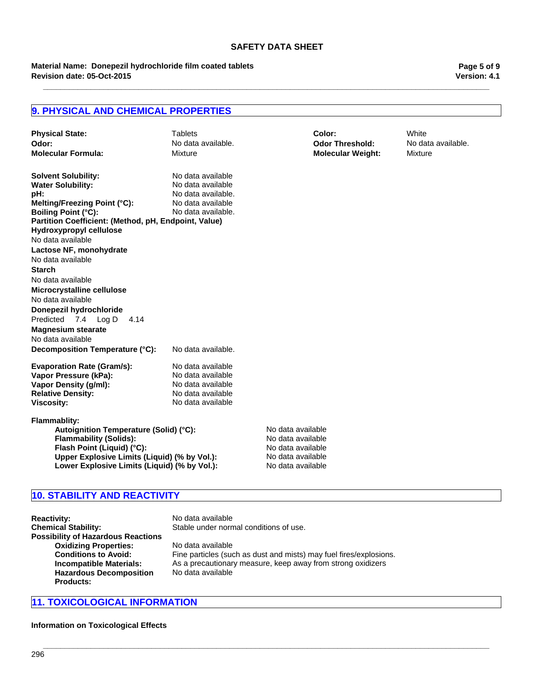**\_\_\_\_\_\_\_\_\_\_\_\_\_\_\_\_\_\_\_\_\_\_\_\_\_\_\_\_\_\_\_\_\_\_\_\_\_\_\_\_\_\_\_\_\_\_\_\_\_\_\_\_\_\_\_\_\_\_\_\_\_\_\_\_\_\_\_\_\_\_\_\_\_\_\_\_\_\_\_\_\_\_\_\_\_\_\_\_\_\_\_\_\_\_\_\_\_\_\_\_\_\_\_**

**Revision date: 05-Oct-2015 Material Name: Donepezil hydrochloride film coated tablets** **Version: 4.1 Page 5 of 9**

## **9. PHYSICAL AND CHEMICAL PROPERTIES**

| <b>Physical State:</b><br>Odor:<br><b>Molecular Formula:</b>                                                                                                                                                                        | <b>Tablets</b><br>No data available.<br><b>Mixture</b>                                                                      |                                                                                                       | Color:<br><b>Odor Threshold:</b><br><b>Molecular Weight:</b> | White<br>No data available.<br>Mixture |
|-------------------------------------------------------------------------------------------------------------------------------------------------------------------------------------------------------------------------------------|-----------------------------------------------------------------------------------------------------------------------------|-------------------------------------------------------------------------------------------------------|--------------------------------------------------------------|----------------------------------------|
| <b>Solvent Solubility:</b><br><b>Water Solubility:</b><br>pH:<br>Melting/Freezing Point (°C):<br><b>Boiling Point (°C):</b><br>Partition Coefficient: (Method, pH, Endpoint, Value)<br>Hydroxypropyl cellulose<br>No data available | No data available<br>No data available<br>No data available.<br>No data available<br>No data available.                     |                                                                                                       |                                                              |                                        |
| Lactose NF, monohydrate<br>No data available<br><b>Starch</b>                                                                                                                                                                       |                                                                                                                             |                                                                                                       |                                                              |                                        |
| No data available<br>Microcrystalline cellulose<br>No data available<br>Donepezil hydrochloride                                                                                                                                     |                                                                                                                             |                                                                                                       |                                                              |                                        |
| Predicted 7.4 Log D<br>4.14<br><b>Magnesium stearate</b><br>No data available                                                                                                                                                       |                                                                                                                             |                                                                                                       |                                                              |                                        |
| Decomposition Temperature (°C):<br><b>Evaporation Rate (Gram/s):</b><br>Vapor Pressure (kPa):<br>Vapor Density (g/ml):<br><b>Relative Density:</b><br><b>Viscosity:</b>                                                             | No data available.<br>No data available<br>No data available<br>No data available<br>No data available<br>No data available |                                                                                                       |                                                              |                                        |
| <b>Flammablity:</b><br>Autoignition Temperature (Solid) (°C):<br><b>Flammability (Solids):</b><br>Flash Point (Liquid) (°C):<br>Upper Explosive Limits (Liquid) (% by Vol.):<br>Lower Explosive Limits (Liquid) (% by Vol.):        |                                                                                                                             | No data available<br>No data available<br>No data available<br>No data available<br>No data available |                                                              |                                        |

## **10. STABILITY AND REACTIVITY**

| <b>Reactivity:</b>                        |
|-------------------------------------------|
| <b>Chemical Stability:</b>                |
| <b>Possibility of Hazardous Reactions</b> |
| <b>Oxidizing Properties:</b>              |
| <b>Conditions to Avoid:</b>               |
| <b>Incompatible Materials:</b>            |
| <b>Hazardous Decomposition</b>            |
| Products:                                 |

**Reactivity:** No data available Stable under normal conditions of use.

**Oxidizing Properties:** No data available Fine particles (such as dust and mists) may fuel fires/explosions. **Incompatible Materials:** As a precautionary measure, keep away from strong oxidizers No data available

**\_\_\_\_\_\_\_\_\_\_\_\_\_\_\_\_\_\_\_\_\_\_\_\_\_\_\_\_\_\_\_\_\_\_\_\_\_\_\_\_\_\_\_\_\_\_\_\_\_\_\_\_\_\_\_\_\_\_\_\_\_\_\_\_\_\_\_\_\_\_\_\_\_\_\_\_\_\_\_\_\_\_\_\_\_\_\_\_\_\_\_\_\_\_\_\_\_\_\_\_\_\_\_**

## **11. TOXICOLOGICAL INFORMATION**

**Information on Toxicological Effects**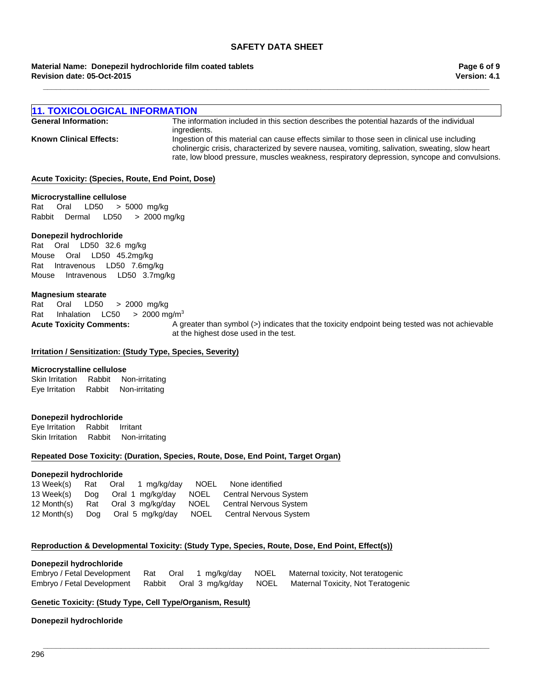### **Material Name: Donepezil hydrochloride film coated tablets Revision date: 05-Oct-2015**

**Version: 4.1 Page 6 of 9**

| <b>11. TOXICOLOGICAL INFORMATION</b> |                                                                                                                                                                                                                                                                                                |
|--------------------------------------|------------------------------------------------------------------------------------------------------------------------------------------------------------------------------------------------------------------------------------------------------------------------------------------------|
| <b>General Information:</b>          | The information included in this section describes the potential hazards of the individual<br>ingredients.                                                                                                                                                                                     |
| <b>Known Clinical Effects:</b>       | Ingestion of this material can cause effects similar to those seen in clinical use including<br>cholinergic crisis, characterized by severe nausea, vomiting, salivation, sweating, slow heart<br>rate, low blood pressure, muscles weakness, respiratory depression, syncope and convulsions. |

**\_\_\_\_\_\_\_\_\_\_\_\_\_\_\_\_\_\_\_\_\_\_\_\_\_\_\_\_\_\_\_\_\_\_\_\_\_\_\_\_\_\_\_\_\_\_\_\_\_\_\_\_\_\_\_\_\_\_\_\_\_\_\_\_\_\_\_\_\_\_\_\_\_\_\_\_\_\_\_\_\_\_\_\_\_\_\_\_\_\_\_\_\_\_\_\_\_\_\_\_\_\_\_**

### **Acute Toxicity: (Species, Route, End Point, Dose)**

#### **Microcrystalline cellulose**

Rat Oral LD50 >5000mg/kg RabbitDermal LD50 >2000 mg/kg

### **Donepezil hydrochloride**

RatIntravenousLD50 7.6mg/kg MouseIntravenousLD50 3.7mg/kg RatOralLD50 32.6mg/kg MouseOralLD50 45.2mg/kg

### **Magnesium stearate**

Rat Oral LD50 >2000mg/kg Rat InhalationLC50 >2000 mg/m3

**Acute Toxicity Comments:** A greater than symbol (>) indicates that the toxicity endpoint being tested was not achievable at the highest dose used in the test.

### **Irritation / Sensitization: (Study Type, Species, Severity)**

#### **Microcrystalline cellulose**

Skin IrritationRabbitNon-irritating Eye IrritationRabbitNon-irritating

### **Donepezil hydrochloride**

Eye IrritationRabbitIrritant Skin IrritationRabbitNon-irritating

#### **Repeated Dose Toxicity: (Duration, Species, Route, Dose, End Point, Target Organ)**

### **Donepezil hydrochloride**

| 13 Week(s)  | Rat | Oral 1 mg/kg/day |      | NOEL None identified          |
|-------------|-----|------------------|------|-------------------------------|
| 13 Week(s)  | Doa | Oral 1 mg/kg/day | NOEL | <b>Central Nervous System</b> |
| 12 Month(s) | Rat | Oral 3 mg/kg/day | NOEL | <b>Central Nervous System</b> |
| 12 Month(s) | Dog | Oral 5 mg/kg/day | NOEL | Central Nervous System        |

## **Reproduction & Developmental Toxicity: (Study Type, Species, Route, Dose, End Point, Effect(s))**

#### **Donepezil hydrochloride**

| Embryo / Fetal Development Rat |  |  | Oral 1 mg/kg/day NOEL Maternal toxicity, Not teratogenic                                   |
|--------------------------------|--|--|--------------------------------------------------------------------------------------------|
|                                |  |  | Embryo / Fetal Development Rabbit Oral 3 mg/kg/day NOEL Maternal Toxicity, Not Teratogenic |

**\_\_\_\_\_\_\_\_\_\_\_\_\_\_\_\_\_\_\_\_\_\_\_\_\_\_\_\_\_\_\_\_\_\_\_\_\_\_\_\_\_\_\_\_\_\_\_\_\_\_\_\_\_\_\_\_\_\_\_\_\_\_\_\_\_\_\_\_\_\_\_\_\_\_\_\_\_\_\_\_\_\_\_\_\_\_\_\_\_\_\_\_\_\_\_\_\_\_\_\_\_\_\_**

## **Genetic Toxicity: (Study Type, Cell Type/Organism, Result)**

### **Donepezil hydrochloride**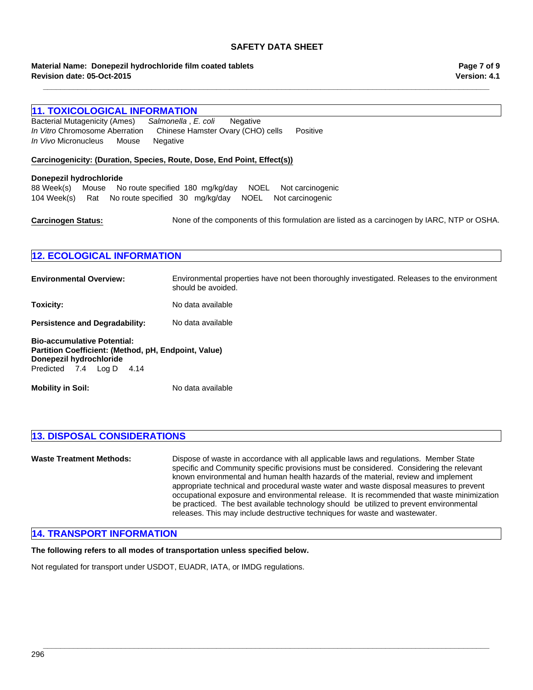**\_\_\_\_\_\_\_\_\_\_\_\_\_\_\_\_\_\_\_\_\_\_\_\_\_\_\_\_\_\_\_\_\_\_\_\_\_\_\_\_\_\_\_\_\_\_\_\_\_\_\_\_\_\_\_\_\_\_\_\_\_\_\_\_\_\_\_\_\_\_\_\_\_\_\_\_\_\_\_\_\_\_\_\_\_\_\_\_\_\_\_\_\_\_\_\_\_\_\_\_\_\_\_**

#### **Revision date: 05-Oct-2015 Material Name: Donepezil hydrochloride film coated tablets**

# **11. TOXICOLOGICAL INFORMATION Carcinogenicity: (Duration, Species, Route, Dose, End Point, Effect(s)) Carcinogen Status:** None of the components of this formulation are listed as a carcinogen by IARC, NTP or OSHA. **12. ECOLOGICAL INFORMATION Environmental Overview:** Environmental properties have not been thoroughly investigated. Releases to the environment should be avoided. **Toxicity:** No data available Persistence and Degradability: No data available **Bio-accumulative Potential: Partition Coefficient: (Method, pH, Endpoint, Value) Mobility in Soil:** No data available Predicted7.4Log D4.14 104 Week(s)RatNo route specified30mg/kg/dayNOELNot carcinogenic *In Vitro* Chromosome AberrationChinese Hamster Ovary (CHO) cellsPositive *In Vivo* MicronucleusMouseNegative **Donepezil hydrochloride** Bacterial Mutagenicity (Ames)*Salmonella* , *E. coli* Negative **Donepezil hydrochloride** 88 Week(s)MouseNo route specified180mg/kg/dayNOELNot carcinogenic

## **13. DISPOSAL CONSIDERATIONS**

**Waste Treatment Methods:** Dispose of waste in accordance with all applicable laws and regulations. Member State specific and Community specific provisions must be considered. Considering the relevant known environmental and human health hazards of the material, review and implement appropriate technical and procedural waste water and waste disposal measures to prevent occupational exposure and environmental release. It is recommended that waste minimization be practiced. The best available technology should be utilized to prevent environmental releases. This may include destructive techniques for waste and wastewater.

**\_\_\_\_\_\_\_\_\_\_\_\_\_\_\_\_\_\_\_\_\_\_\_\_\_\_\_\_\_\_\_\_\_\_\_\_\_\_\_\_\_\_\_\_\_\_\_\_\_\_\_\_\_\_\_\_\_\_\_\_\_\_\_\_\_\_\_\_\_\_\_\_\_\_\_\_\_\_\_\_\_\_\_\_\_\_\_\_\_\_\_\_\_\_\_\_\_\_\_\_\_\_\_**

## **14. TRANSPORT INFORMATION**

**The following refers to all modes of transportation unless specified below.**

Not regulated for transport under USDOT, EUADR, IATA, or IMDG regulations.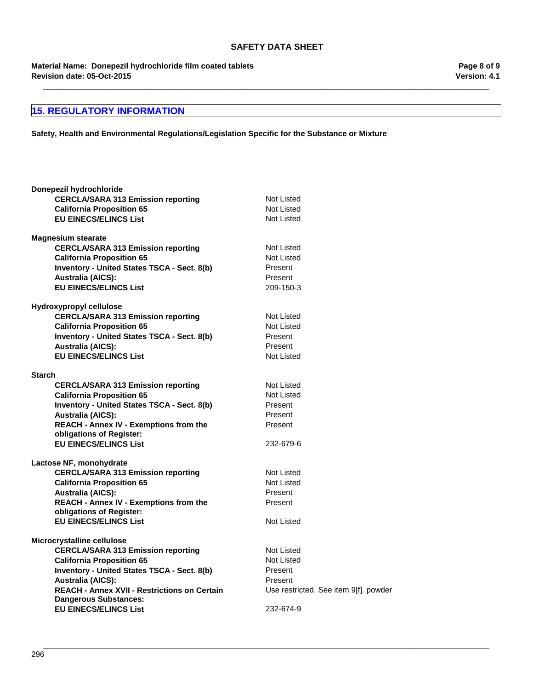**\_\_\_\_\_\_\_\_\_\_\_\_\_\_\_\_\_\_\_\_\_\_\_\_\_\_\_\_\_\_\_\_\_\_\_\_\_\_\_\_\_\_\_\_\_\_\_\_\_\_\_\_\_\_\_\_\_\_\_\_\_\_\_\_\_\_\_\_\_\_\_\_\_\_\_\_\_\_\_\_\_\_\_\_\_\_\_\_\_\_\_\_\_\_\_\_\_\_\_\_\_\_\_**

**Revision date: 05-Oct-2015 Material Name: Donepezil hydrochloride film coated tablets**

## **15. REGULATORY INFORMATION**

**Safety, Health and Environmental Regulations/Legislation Specific for the Substance or Mixture**

| Donepezil hydrochloride                                  |                                       |
|----------------------------------------------------------|---------------------------------------|
| <b>CERCLA/SARA 313 Emission reporting</b>                | <b>Not Listed</b>                     |
| <b>California Proposition 65</b>                         | <b>Not Listed</b>                     |
| <b>EU EINECS/ELINCS List</b>                             | <b>Not Listed</b>                     |
| <b>Magnesium stearate</b>                                |                                       |
| <b>CERCLA/SARA 313 Emission reporting</b>                | <b>Not Listed</b>                     |
| <b>California Proposition 65</b>                         | Not Listed                            |
| Inventory - United States TSCA - Sect. 8(b)              | Present                               |
| <b>Australia (AICS):</b>                                 | Present                               |
| <b>EU EINECS/ELINCS List</b>                             | 209-150-3                             |
| Hydroxypropyl cellulose                                  |                                       |
| <b>CERCLA/SARA 313 Emission reporting</b>                | <b>Not Listed</b>                     |
| <b>California Proposition 65</b>                         | Not Listed                            |
| Inventory - United States TSCA - Sect. 8(b)              | Present                               |
| <b>Australia (AICS):</b>                                 | Present                               |
| <b>EU EINECS/ELINCS List</b>                             | Not Listed                            |
|                                                          |                                       |
| <b>Starch</b>                                            |                                       |
| <b>CERCLA/SARA 313 Emission reporting</b>                | Not Listed                            |
| <b>California Proposition 65</b>                         | Not Listed                            |
| <b>Inventory - United States TSCA - Sect. 8(b)</b>       | Present                               |
| <b>Australia (AICS):</b>                                 | Present                               |
| REACH - Annex IV - Exemptions from the                   | Present                               |
| obligations of Register:<br><b>EU EINECS/ELINCS List</b> | 232-679-6                             |
|                                                          |                                       |
| Lactose NF, monohydrate                                  |                                       |
| <b>CERCLA/SARA 313 Emission reporting</b>                | <b>Not Listed</b>                     |
| <b>California Proposition 65</b>                         | <b>Not Listed</b>                     |
| <b>Australia (AICS):</b>                                 | Present                               |
| REACH - Annex IV - Exemptions from the                   | Present                               |
| obligations of Register:                                 |                                       |
| <b>EU EINECS/ELINCS List</b>                             | <b>Not Listed</b>                     |
| Microcrystalline cellulose                               |                                       |
| <b>CERCLA/SARA 313 Emission reporting</b>                | Not Listed                            |
| <b>California Proposition 65</b>                         | Not Listed                            |
| <b>Inventory - United States TSCA - Sect. 8(b)</b>       | Present                               |
| <b>Australia (AICS):</b>                                 | Present                               |
| <b>REACH - Annex XVII - Restrictions on Certain</b>      | Use restricted. See item 9[f]. powder |
| <b>Dangerous Substances:</b>                             |                                       |
| <b>EU EINECS/ELINCS List</b>                             | 232-674-9                             |

**Version: 4.1 Page 8 of 9**